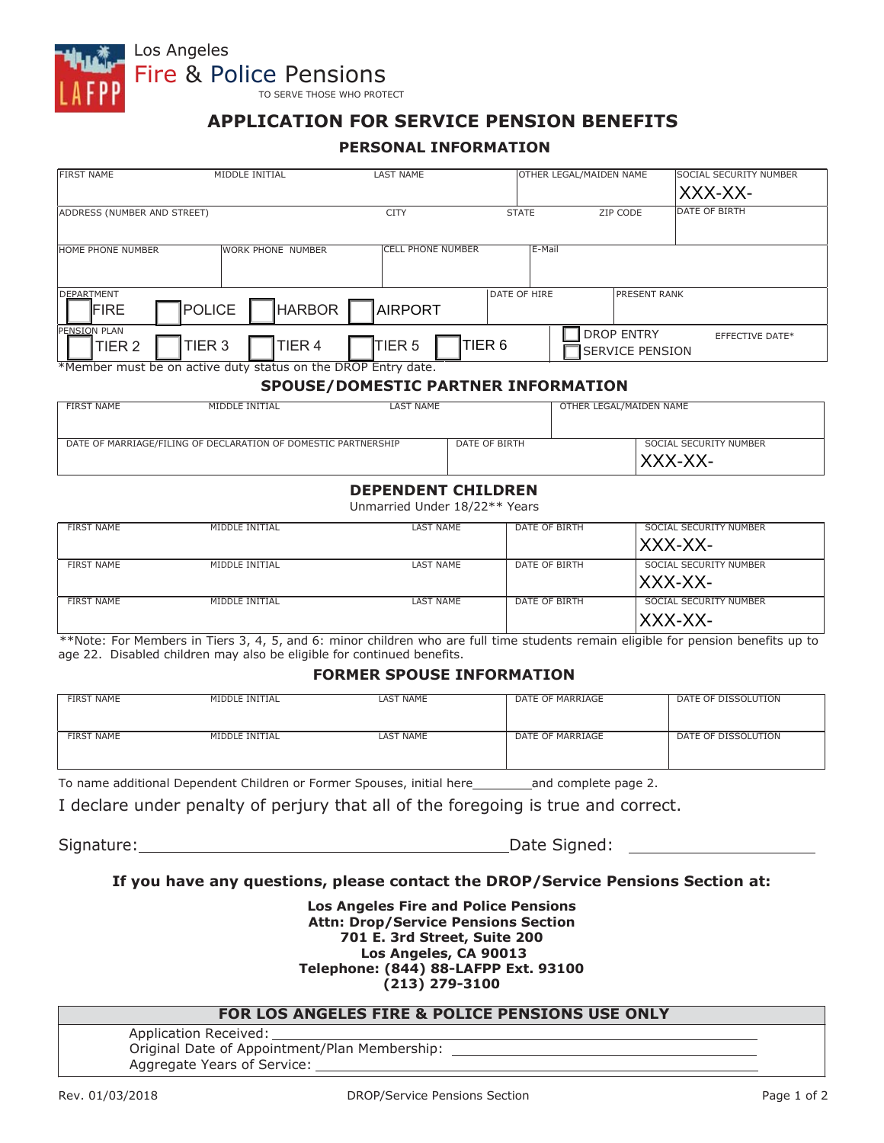

## Los Angeles Fire & Police Pensions

TO SERVE THOSE WHO PROTECT

## **APPLICATION FOR SERVICE PENSION BENEFITS**

#### **PERSONAL INFORMATION**

| <b>FIRST NAME</b>                 | MIDDLE INITIAL                                                 | <b>LAST NAME</b>                    |                   | OTHER LEGAL/MAIDEN NAME                     | <b>SOCIAL SECURITY NUMBER</b><br>XXX-XX- |
|-----------------------------------|----------------------------------------------------------------|-------------------------------------|-------------------|---------------------------------------------|------------------------------------------|
| ADDRESS (NUMBER AND STREET)       |                                                                | <b>CITY</b>                         | <b>STATE</b>      | ZIP CODE                                    | DATE OF BIRTH                            |
| <b>HOME PHONE NUMBER</b>          | <b>WORK PHONE NUMBER</b>                                       | <b>CELL PHONE NUMBER</b>            | E-Mail            |                                             |                                          |
| <b>DEPARTMENT</b><br>FIRE         | <b>HARBOR</b><br><b>POLICE</b>                                 | <b>AIRPORT</b>                      | DATE OF HIRE      | <b>PRESENT RANK</b>                         |                                          |
| PENSION PLAN<br>TIER <sub>2</sub> | TIER <sub>3</sub><br>TIER <sub>4</sub>                         | TIER <sub>5</sub>                   | TIER <sub>6</sub> | <b>DROP ENTRY</b><br><b>SERVICE PENSION</b> | <b>EFFECTIVE DATE*</b>                   |
|                                   | *Member must be on active duty status on the DROP Entry date.  | SPOUSE/DOMESTIC PARTNER INFORMATION |                   |                                             |                                          |
| <b>FIRST NAME</b>                 | MIDDLE INITIAL                                                 | <b>LAST NAME</b>                    |                   | OTHER LEGAL/MAIDEN NAME                     |                                          |
|                                   | DATE OF MARRIAGE/FILING OF DECLARATION OF DOMESTIC PARTNERSHIP |                                     | DATE OF BIRTH     |                                             | SOCIAL SECURITY NUMBER<br>XXX-XX-        |

#### **SPOUSE/DOMESTIC PARTNER INFORMATION**

| FIRST NAME | MIDDLE INITIAL                                                 | LAST NAME |               | OTHER LEGAL/MAIDEN NAME |                                    |
|------------|----------------------------------------------------------------|-----------|---------------|-------------------------|------------------------------------|
|            | DATE OF MARRIAGE/FILING OF DECLARATION OF DOMESTIC PARTNERSHIP |           | DATE OF BIRTH |                         | SOCIAL SECURITY NUMBER<br>'XXX-XX- |

#### **DEPENDENT CHILDREN**

Unmarried Under 18/22\*\* Years

| <b>FIRST NAME</b> | MIDDLE INITIAL | LAST NAME        | DATE OF BIRTH | SOCIAL SECURITY NUMBER             |
|-------------------|----------------|------------------|---------------|------------------------------------|
|                   |                |                  |               | XXX-XX-                            |
| FIRST NAME        | MIDDLE INITIAL | LAST NAME        | DATE OF BIRTH | SOCIAL SECURITY NUMBER<br> XXX-XX- |
|                   |                |                  |               |                                    |
| <b>FIRST NAME</b> | MIDDLE INITIAL | <b>LAST NAME</b> | DATE OF BIRTH | SOCIAL SECURITY NUMBER             |
|                   |                |                  |               | XXX-XX-                            |

\*\*Note: For Members in Tiers 3, 4, 5, and 6: minor children who are full time students remain eligible for pension benefits up to age 22. Disabled children may also be eligible for continued benefits.

#### **FORMER SPOUSE INFORMATION**

| <b>FIRST NAME</b> | MIDDLE INITIAL | <b>LAST NAME</b> | DATE OF MARRIAGE | DATE OF DISSOLUTION |
|-------------------|----------------|------------------|------------------|---------------------|
| <b>FIRST NAME</b> | MIDDLE INITIAL | LAST NAME        | DATE OF MARRIAGE | DATE OF DISSOLUTION |

To name additional Dependent Children or Former Spouses, initial here and complete page 2.

I declare under penalty of perjury that all of the foregoing is true and correct.

Signature: Date Signed:

#### **If you have any questions, please contact the DROP/Service Pensions Section at:**

**Los Angeles Fire and Police Pensions Attn: Drop/Service Pensions Section 701 E. 3rd Street, Suite 200 Los Angeles, CA 90013 Telephone: (844) 88-LAFPP Ext. 93100 (213) 279-3100**

#### **FOR LOS ANGELES FIRE & POLICE PENSIONS USE ONLY**

Application Received: Original Date of Appointment/Plan Membership: Aggregate Years of Service: